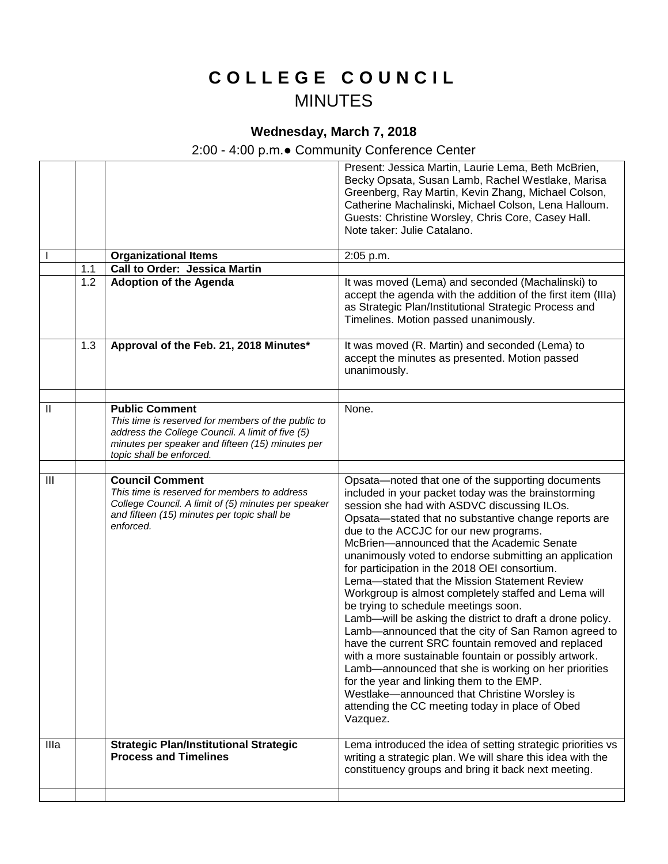## **C O L L E G E C O U N C I L** MINUTES

## **Wednesday, March 7, 2018**

## 2:00 - 4:00 p.m.● Community Conference Center

|      |     |                                                                                                                                                                                           | Present: Jessica Martin, Laurie Lema, Beth McBrien,                                                                                                                                                                                                                                                                                                                                                                                                                                                                                                                                                                                                                                                                                                                                                                                                                                                                                                                                                                        |
|------|-----|-------------------------------------------------------------------------------------------------------------------------------------------------------------------------------------------|----------------------------------------------------------------------------------------------------------------------------------------------------------------------------------------------------------------------------------------------------------------------------------------------------------------------------------------------------------------------------------------------------------------------------------------------------------------------------------------------------------------------------------------------------------------------------------------------------------------------------------------------------------------------------------------------------------------------------------------------------------------------------------------------------------------------------------------------------------------------------------------------------------------------------------------------------------------------------------------------------------------------------|
|      |     |                                                                                                                                                                                           | Becky Opsata, Susan Lamb, Rachel Westlake, Marisa                                                                                                                                                                                                                                                                                                                                                                                                                                                                                                                                                                                                                                                                                                                                                                                                                                                                                                                                                                          |
|      |     |                                                                                                                                                                                           | Greenberg, Ray Martin, Kevin Zhang, Michael Colson,                                                                                                                                                                                                                                                                                                                                                                                                                                                                                                                                                                                                                                                                                                                                                                                                                                                                                                                                                                        |
|      |     |                                                                                                                                                                                           | Catherine Machalinski, Michael Colson, Lena Halloum.                                                                                                                                                                                                                                                                                                                                                                                                                                                                                                                                                                                                                                                                                                                                                                                                                                                                                                                                                                       |
|      |     |                                                                                                                                                                                           | Guests: Christine Worsley, Chris Core, Casey Hall.                                                                                                                                                                                                                                                                                                                                                                                                                                                                                                                                                                                                                                                                                                                                                                                                                                                                                                                                                                         |
|      |     |                                                                                                                                                                                           | Note taker: Julie Catalano.                                                                                                                                                                                                                                                                                                                                                                                                                                                                                                                                                                                                                                                                                                                                                                                                                                                                                                                                                                                                |
|      |     | <b>Organizational Items</b>                                                                                                                                                               | 2:05 p.m.                                                                                                                                                                                                                                                                                                                                                                                                                                                                                                                                                                                                                                                                                                                                                                                                                                                                                                                                                                                                                  |
|      | 1.1 | Call to Order: Jessica Martin                                                                                                                                                             |                                                                                                                                                                                                                                                                                                                                                                                                                                                                                                                                                                                                                                                                                                                                                                                                                                                                                                                                                                                                                            |
|      | 1.2 | <b>Adoption of the Agenda</b>                                                                                                                                                             | It was moved (Lema) and seconded (Machalinski) to<br>accept the agenda with the addition of the first item (IIIa)<br>as Strategic Plan/Institutional Strategic Process and<br>Timelines. Motion passed unanimously.                                                                                                                                                                                                                                                                                                                                                                                                                                                                                                                                                                                                                                                                                                                                                                                                        |
|      | 1.3 | Approval of the Feb. 21, 2018 Minutes*                                                                                                                                                    | It was moved (R. Martin) and seconded (Lema) to<br>accept the minutes as presented. Motion passed<br>unanimously.                                                                                                                                                                                                                                                                                                                                                                                                                                                                                                                                                                                                                                                                                                                                                                                                                                                                                                          |
|      |     |                                                                                                                                                                                           |                                                                                                                                                                                                                                                                                                                                                                                                                                                                                                                                                                                                                                                                                                                                                                                                                                                                                                                                                                                                                            |
| Ш    |     | <b>Public Comment</b><br>This time is reserved for members of the public to                                                                                                               | None.                                                                                                                                                                                                                                                                                                                                                                                                                                                                                                                                                                                                                                                                                                                                                                                                                                                                                                                                                                                                                      |
|      |     | address the College Council. A limit of five (5)                                                                                                                                          |                                                                                                                                                                                                                                                                                                                                                                                                                                                                                                                                                                                                                                                                                                                                                                                                                                                                                                                                                                                                                            |
|      |     | minutes per speaker and fifteen (15) minutes per                                                                                                                                          |                                                                                                                                                                                                                                                                                                                                                                                                                                                                                                                                                                                                                                                                                                                                                                                                                                                                                                                                                                                                                            |
|      |     | topic shall be enforced.                                                                                                                                                                  |                                                                                                                                                                                                                                                                                                                                                                                                                                                                                                                                                                                                                                                                                                                                                                                                                                                                                                                                                                                                                            |
|      |     |                                                                                                                                                                                           |                                                                                                                                                                                                                                                                                                                                                                                                                                                                                                                                                                                                                                                                                                                                                                                                                                                                                                                                                                                                                            |
| III  |     | <b>Council Comment</b><br>This time is reserved for members to address<br>College Council. A limit of (5) minutes per speaker<br>and fifteen (15) minutes per topic shall be<br>enforced. | Opsata-noted that one of the supporting documents<br>included in your packet today was the brainstorming<br>session she had with ASDVC discussing ILOs.<br>Opsata-stated that no substantive change reports are<br>due to the ACCJC for our new programs.<br>McBrien-announced that the Academic Senate<br>unanimously voted to endorse submitting an application<br>for participation in the 2018 OEI consortium.<br>Lema-stated that the Mission Statement Review<br>Workgroup is almost completely staffed and Lema will<br>be trying to schedule meetings soon.<br>Lamb-will be asking the district to draft a drone policy.<br>Lamb-announced that the city of San Ramon agreed to<br>have the current SRC fountain removed and replaced<br>with a more sustainable fountain or possibly artwork.<br>Lamb-announced that she is working on her priorities<br>for the year and linking them to the EMP.<br>Westlake-announced that Christine Worsley is<br>attending the CC meeting today in place of Obed<br>Vazquez. |
| Illa |     | <b>Strategic Plan/Institutional Strategic</b>                                                                                                                                             | Lema introduced the idea of setting strategic priorities vs                                                                                                                                                                                                                                                                                                                                                                                                                                                                                                                                                                                                                                                                                                                                                                                                                                                                                                                                                                |
|      |     | <b>Process and Timelines</b>                                                                                                                                                              | writing a strategic plan. We will share this idea with the                                                                                                                                                                                                                                                                                                                                                                                                                                                                                                                                                                                                                                                                                                                                                                                                                                                                                                                                                                 |
|      |     |                                                                                                                                                                                           | constituency groups and bring it back next meeting.                                                                                                                                                                                                                                                                                                                                                                                                                                                                                                                                                                                                                                                                                                                                                                                                                                                                                                                                                                        |
|      |     |                                                                                                                                                                                           |                                                                                                                                                                                                                                                                                                                                                                                                                                                                                                                                                                                                                                                                                                                                                                                                                                                                                                                                                                                                                            |
|      |     |                                                                                                                                                                                           |                                                                                                                                                                                                                                                                                                                                                                                                                                                                                                                                                                                                                                                                                                                                                                                                                                                                                                                                                                                                                            |